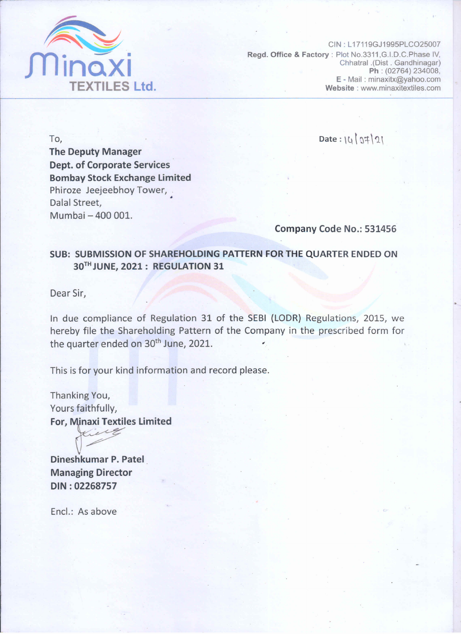

CIN: L17119GJ1995PLCO25007 Regd. Office & Factory: Plot No.3311, G.I.D.C. Phase IV, Chhatral .(Dist . Gandhinagar) Ph: (02764) 234008, E - Mail: minaxitx@yahoo.com Website: www.minaxitextiles.com

To, **The Deputy Manager Dept. of Corporate Services Bombay Stock Exchange Limited** Phiroze Jeejeebhoy Tower, . Dalal Street. Mumbai - 400 001.

 $Date: |4|0#|2|$ 

Company Code No.: 531456

## SUB: SUBMISSION OF SHAREHOLDING PATTERN FOR THE QUARTER ENDED ON 30TH JUNE, 2021: REGULATION 31

Dear Sir,

In due compliance of Regulation 31 of the SEBI (LODR) Regulations, 2015, we hereby file the Shareholding Pattern of the Company in the prescribed form for the quarter ended on 30<sup>th</sup> June, 2021.

This is for your kind information and record please.

Thanking You, Yours faithfully, **For, Minaxi Textiles Limited** 

Dineshkumar P. Patel **Managing Director** DIN: 02268757

Encl.: As above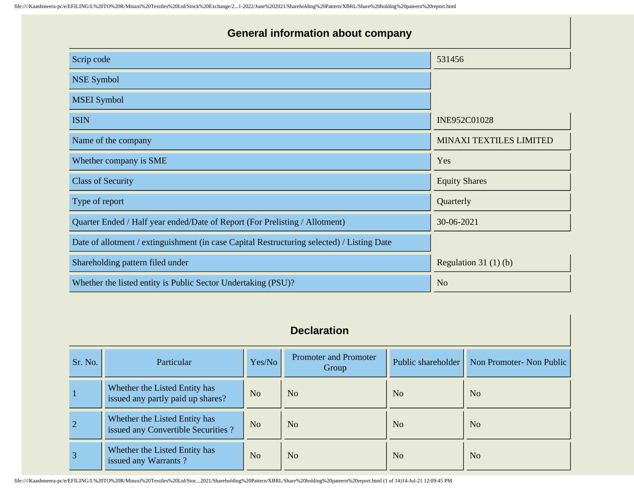| <b>General information about company</b>                                                   |                                |  |  |  |  |  |  |
|--------------------------------------------------------------------------------------------|--------------------------------|--|--|--|--|--|--|
| Scrip code                                                                                 | 531456                         |  |  |  |  |  |  |
| <b>NSE Symbol</b>                                                                          |                                |  |  |  |  |  |  |
| <b>MSEI</b> Symbol                                                                         |                                |  |  |  |  |  |  |
| <b>ISIN</b>                                                                                | INE952C01028                   |  |  |  |  |  |  |
| Name of the company                                                                        | <b>MINAXI TEXTILES LIMITED</b> |  |  |  |  |  |  |
| Whether company is SME                                                                     | Yes                            |  |  |  |  |  |  |
| <b>Class of Security</b>                                                                   | <b>Equity Shares</b>           |  |  |  |  |  |  |
| Type of report                                                                             | Quarterly                      |  |  |  |  |  |  |
| Quarter Ended / Half year ended/Date of Report (For Prelisting / Allotment)                | 30-06-2021                     |  |  |  |  |  |  |
| Date of allotment / extinguishment (in case Capital Restructuring selected) / Listing Date |                                |  |  |  |  |  |  |
| Shareholding pattern filed under                                                           | Regulation $31(1)(b)$          |  |  |  |  |  |  |
| Whether the listed entity is Public Sector Undertaking (PSU)?                              | N <sub>0</sub>                 |  |  |  |  |  |  |

## **Declaration**

| Sr. No.        | <b>Particular</b>                                                   | Yes/No         | Promoter and Promoter<br>Group | Public shareholder | Non Promoter- Non Public |
|----------------|---------------------------------------------------------------------|----------------|--------------------------------|--------------------|--------------------------|
|                | Whether the Listed Entity has<br>issued any partly paid up shares?  | N <sub>o</sub> | N <sub>o</sub>                 | N <sub>o</sub>     | N <sub>o</sub>           |
| $\overline{2}$ | Whether the Listed Entity has<br>issued any Convertible Securities? | N <sub>o</sub> | N <sub>o</sub>                 | N <sub>o</sub>     | N <sub>o</sub>           |
| $\overline{3}$ | Whether the Listed Entity has<br>issued any Warrants?               | N <sub>o</sub> | N <sub>o</sub>                 | N <sub>o</sub>     | N <sub>o</sub>           |

file:////Kaashmeera-pc/e/EFILING/L%20TO%20R/Minaxi%20Textiles%20Ltd/Stoc...2021/Shareholding%20Pattern/XBRL/Share%20holding%20pateern%20report.html (1 of 14)14-Jul-21 12:09:45 PM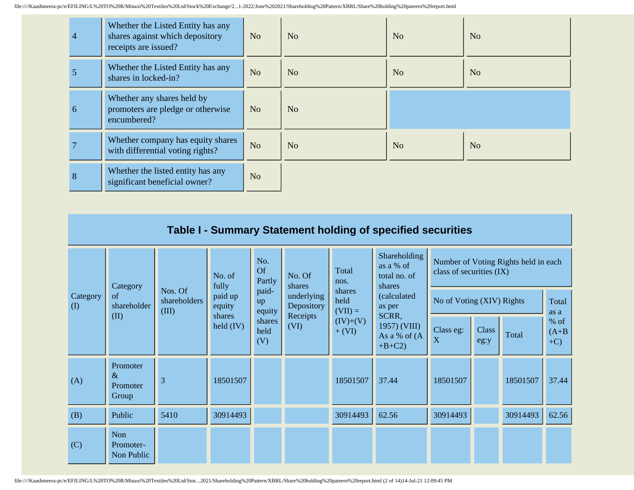| 4 | Whether the Listed Entity has any<br>shares against which depository<br>receipts are issued? | N <sub>o</sub> | N <sub>o</sub> | N <sub>o</sub> | No             |
|---|----------------------------------------------------------------------------------------------|----------------|----------------|----------------|----------------|
| 5 | Whether the Listed Entity has any<br>shares in locked-in?                                    | N <sub>o</sub> | N <sub>o</sub> | N <sub>o</sub> | N <sub>o</sub> |
| 6 | Whether any shares held by<br>promoters are pledge or otherwise<br>encumbered?               | N <sub>o</sub> | N <sub>o</sub> |                |                |
|   | Whether company has equity shares<br>with differential voting rights?                        | N <sub>o</sub> | N <sub>o</sub> | N <sub>o</sub> | N <sub>o</sub> |
| 8 | Whether the listed entity has any<br>significant beneficial owner?                           | N <sub>o</sub> |                |                |                |

|                 | Table I - Summary Statement holding of specified securities                                                                                 |      |                       |                                    |                           |                        |                                                     |                                                                  |                      |          |                             |
|-----------------|---------------------------------------------------------------------------------------------------------------------------------------------|------|-----------------------|------------------------------------|---------------------------|------------------------|-----------------------------------------------------|------------------------------------------------------------------|----------------------|----------|-----------------------------|
|                 |                                                                                                                                             |      | No. of<br>fully       | No.<br>Of<br>Partly                | No. Of<br>shares          | Total<br>nos.          | Shareholding<br>as a % of<br>total no. of<br>shares | Number of Voting Rights held in each<br>class of securities (IX) |                      |          |                             |
| Category<br>(I) | Category<br>Nos. Of<br>paid-<br>paid up<br>of<br>underlying<br>shareholders<br>up<br>shareholder<br>Depository<br>equity<br>(III)<br>equity |      | shares<br>held        | (calculated<br>as per<br>$(VII) =$ | No of Voting (XIV) Rights | Total<br>as a          |                                                     |                                                                  |                      |          |                             |
|                 | (II)                                                                                                                                        |      | shares<br>held $(IV)$ | shares<br>held<br>(V)              | Receipts<br>(VI)          | $(IV)+(V)$<br>$+ (VI)$ | SCRR,<br>1957) (VIII)<br>As a % of (A<br>$+B+C2$    | Class eg:<br>X                                                   | <b>Class</b><br>eg:y | Total    | $%$ of<br>$(A+B)$<br>$+C$ ) |
| (A)             | Promoter<br>$\&$<br>Promoter<br>Group                                                                                                       | 3    | 18501507              |                                    |                           | 18501507               | 37.44                                               | 18501507                                                         |                      | 18501507 | 37.44                       |
| (B)             | Public                                                                                                                                      | 5410 | 30914493              |                                    |                           | 30914493               | 62.56                                               | 30914493                                                         |                      | 30914493 | 62.56                       |
| (C)             | Non<br>Promoter-<br>Non Public                                                                                                              |      |                       |                                    |                           |                        |                                                     |                                                                  |                      |          |                             |

file:////Kaashmeera-pc/e/EFILING/L%20TO%20R/Minaxi%20Textiles%20Ltd/Stoc...2021/Shareholding%20Pattern/XBRL/Share%20holding%20pateern%20report.html (2 of 14)14-Jul-21 12:09:45 PM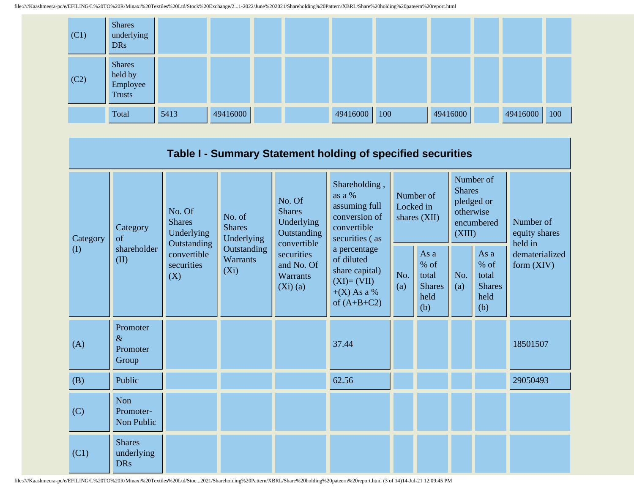

|                 |                                           |                                                                                          |                                       |                                                                                                                        | Table I - Summary Statement holding of specified securities                                    |                                        |                                                         |                                                                               |                                                       |                                       |  |
|-----------------|-------------------------------------------|------------------------------------------------------------------------------------------|---------------------------------------|------------------------------------------------------------------------------------------------------------------------|------------------------------------------------------------------------------------------------|----------------------------------------|---------------------------------------------------------|-------------------------------------------------------------------------------|-------------------------------------------------------|---------------------------------------|--|
| Category<br>(I) | Category<br>of<br>shareholder<br>(II)     | No. Of<br><b>Shares</b><br>Underlying<br>Outstanding<br>convertible<br>securities<br>(X) | No. of<br><b>Shares</b><br>Underlying | No. Of<br><b>Shares</b><br>Underlying<br>Outstanding<br>convertible<br>securities<br>and No. Of<br>Warrants<br>(Xi)(a) | Shareholding,<br>as a %<br>assuming full<br>conversion of<br>convertible<br>securities (as     | Number of<br>Locked in<br>shares (XII) |                                                         | Number of<br><b>Shares</b><br>pledged or<br>otherwise<br>encumbered<br>(XIII) |                                                       | Number of<br>equity shares<br>held in |  |
|                 |                                           |                                                                                          | Outstanding<br>Warrants<br>$(X_i)$    |                                                                                                                        | a percentage<br>of diluted<br>share capital)<br>$(XI)=(VII)$<br>$+(X)$ As a %<br>of $(A+B+C2)$ | No.<br>(a)                             | As a<br>$%$ of<br>total<br><b>Shares</b><br>held<br>(b) | No.<br>(a)                                                                    | As a<br>% of<br>total<br><b>Shares</b><br>held<br>(b) | dematerialized<br>form (XIV)          |  |
| (A)             | Promoter<br>$\&$<br>Promoter<br>Group     |                                                                                          |                                       |                                                                                                                        | 37.44                                                                                          |                                        |                                                         |                                                                               |                                                       | 18501507                              |  |
| (B)             | Public                                    |                                                                                          |                                       |                                                                                                                        | 62.56                                                                                          |                                        |                                                         |                                                                               |                                                       | 29050493                              |  |
| (C)             | Non<br>Promoter-<br>Non Public            |                                                                                          |                                       |                                                                                                                        |                                                                                                |                                        |                                                         |                                                                               |                                                       |                                       |  |
| (C1)            | <b>Shares</b><br>underlying<br><b>DRs</b> |                                                                                          |                                       |                                                                                                                        |                                                                                                |                                        |                                                         |                                                                               |                                                       |                                       |  |

file:////Kaashmeera-pc/e/EFILING/L%20TO%20R/Minaxi%20Textiles%20Ltd/Stoc...2021/Shareholding%20Pattern/XBRL/Share%20holding%20pateern%20report.html (3 of 14)14-Jul-21 12:09:45 PM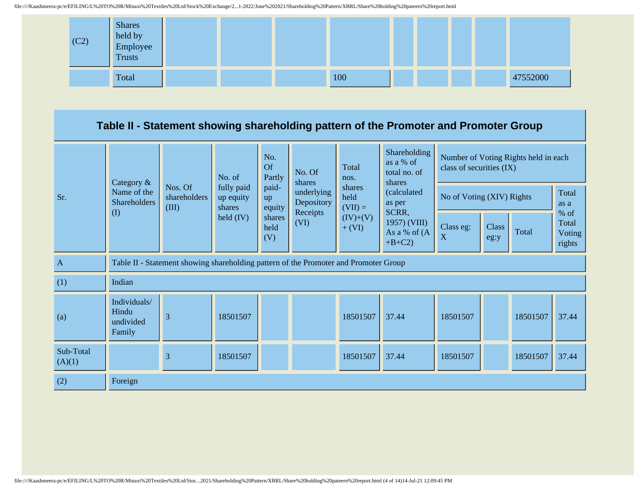

## **Table II - Statement showing shareholding pattern of the Promoter and Promoter Group**

|                     | Category &                                   |                                                                                      | No. of                            | No.<br><b>Of</b><br>Partly | No. Of<br>shares                     | Total<br>nos.               | Shareholding<br>as a % of<br>total no. of<br>shares | Number of Voting Rights held in each<br>class of securities (IX) |                           |          |                                     |
|---------------------|----------------------------------------------|--------------------------------------------------------------------------------------|-----------------------------------|----------------------------|--------------------------------------|-----------------------------|-----------------------------------------------------|------------------------------------------------------------------|---------------------------|----------|-------------------------------------|
| Sr.                 | Name of the<br><b>Shareholders</b><br>(I)    | Nos. Of<br>shareholders<br>(III)                                                     | fully paid<br>up equity<br>shares | paid-<br>up<br>equity      | underlying<br>Depository<br>Receipts | shares<br>held<br>$(VII) =$ | (calculated<br>as per                               |                                                                  | No of Voting (XIV) Rights |          | Total<br>as a                       |
|                     |                                              |                                                                                      | $\text{held (IV)}$                | shares<br>held<br>(V)      | (VI)                                 | $(IV)+(V)$<br>$+ (VI)$      | SCRR,<br>1957) (VIII)<br>As a % of (A<br>$+B+C2$    | Class eg:<br>X                                                   | Class<br>eg:y             | Total    | $%$ of<br>Total<br>Voting<br>rights |
| $\mathbf{A}$        |                                              | Table II - Statement showing shareholding pattern of the Promoter and Promoter Group |                                   |                            |                                      |                             |                                                     |                                                                  |                           |          |                                     |
| (1)                 | Indian                                       |                                                                                      |                                   |                            |                                      |                             |                                                     |                                                                  |                           |          |                                     |
| (a)                 | Individuals/<br>Hindu<br>undivided<br>Family | 3                                                                                    | 18501507                          |                            |                                      | 18501507                    | 37.44                                               | 18501507                                                         |                           | 18501507 | 37.44                               |
| Sub-Total<br>(A)(1) |                                              | 3                                                                                    | 18501507                          |                            |                                      | 18501507                    | 37.44                                               | 18501507                                                         |                           | 18501507 | 37.44                               |
| (2)                 | Foreign                                      |                                                                                      |                                   |                            |                                      |                             |                                                     |                                                                  |                           |          |                                     |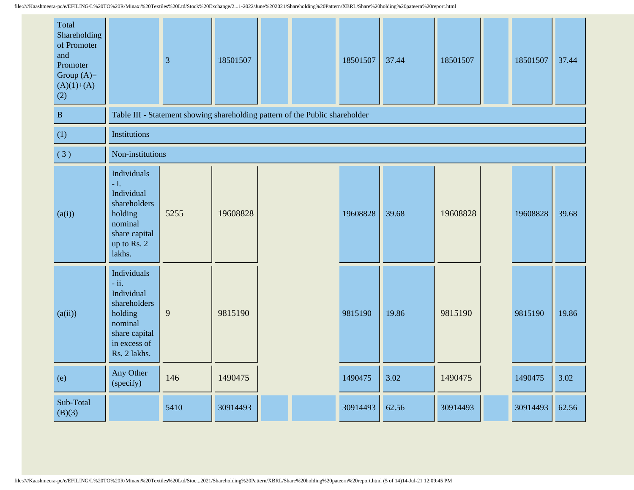| Total<br>Shareholding<br>of Promoter<br>and<br>Promoter<br>Group $(A)=$<br>$(A)(1)+(A)$<br>(2) |                                                                                                                                    | $\overline{3}$                                                               | 18501507 |  |  | 18501507 | 37.44 | 18501507 | 18501507 | 37.44 |
|------------------------------------------------------------------------------------------------|------------------------------------------------------------------------------------------------------------------------------------|------------------------------------------------------------------------------|----------|--|--|----------|-------|----------|----------|-------|
| $\, {\bf B}$                                                                                   |                                                                                                                                    | Table III - Statement showing shareholding pattern of the Public shareholder |          |  |  |          |       |          |          |       |
| (1)                                                                                            | <b>Institutions</b>                                                                                                                |                                                                              |          |  |  |          |       |          |          |       |
| (3)                                                                                            | Non-institutions                                                                                                                   |                                                                              |          |  |  |          |       |          |          |       |
| (a(i))                                                                                         | Individuals<br>$-i.$<br>Individual<br>shareholders<br>holding<br>nominal<br>share capital<br>up to Rs. 2<br>lakhs.                 | 5255                                                                         | 19608828 |  |  | 19608828 | 39.68 | 19608828 | 19608828 | 39.68 |
| (a(ii))                                                                                        | Individuals<br>$\text{- ii.}$<br>Individual<br>shareholders<br>holding<br>nominal<br>share capital<br>in excess of<br>Rs. 2 lakhs. | 9                                                                            | 9815190  |  |  | 9815190  | 19.86 | 9815190  | 9815190  | 19.86 |
| (e)                                                                                            | Any Other<br>(specify)                                                                                                             | 146                                                                          | 1490475  |  |  | 1490475  | 3.02  | 1490475  | 1490475  | 3.02  |
| Sub-Total<br>(B)(3)                                                                            |                                                                                                                                    | 5410                                                                         | 30914493 |  |  | 30914493 | 62.56 | 30914493 | 30914493 | 62.56 |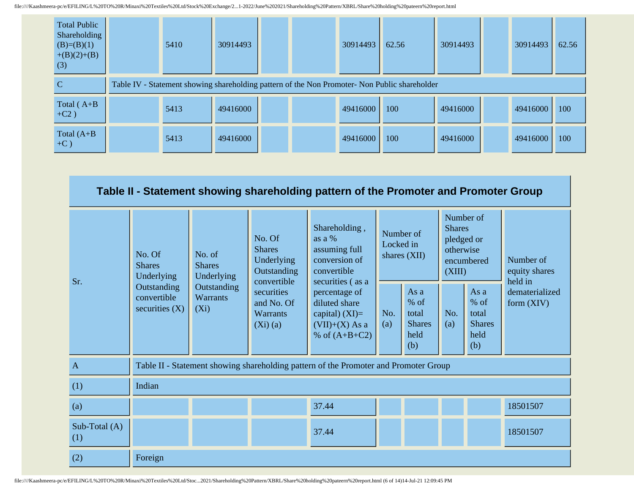| <b>Total Public</b><br>Shareholding<br>$(B)=(B)(1)$<br>$+(B)(2)+(B)$<br>(3) | 5410 | 30914493 |  | 30914493 | 62.56                                                                                         | 30914493 | 30914493 | 62.56 |
|-----------------------------------------------------------------------------|------|----------|--|----------|-----------------------------------------------------------------------------------------------|----------|----------|-------|
| C                                                                           |      |          |  |          | Table IV - Statement showing shareholding pattern of the Non Promoter- Non Public shareholder |          |          |       |
| Total $(A+B$<br>$+C2)$                                                      | 5413 | 49416000 |  | 49416000 | 100                                                                                           | 49416000 | 49416000 | 100   |
| Total $(A+B)$<br>$+C$ )                                                     | 5413 | 49416000 |  | 49416000 | 100                                                                                           | 49416000 | 49416000 | 100   |

|                      | Table II - Statement showing shareholding pattern of the Promoter and Promoter Group |                                           |                                                                                                                                                                                                         |                                                                                           |                                                                                       |                                                         |            |                                                         |                                |
|----------------------|--------------------------------------------------------------------------------------|-------------------------------------------|---------------------------------------------------------------------------------------------------------------------------------------------------------------------------------------------------------|-------------------------------------------------------------------------------------------|---------------------------------------------------------------------------------------|---------------------------------------------------------|------------|---------------------------------------------------------|--------------------------------|
| Sr.                  | No. Of<br><b>Shares</b><br>Underlying                                                | No. of<br><b>Shares</b><br>Underlying     | Shareholding,<br><b>Shares</b><br>Number of<br>No. Of<br>as a %<br>Locked in<br><b>Shares</b><br>assuming full<br>shares $(XII)$<br>conversion of<br>Underlying<br>Outstanding<br>convertible<br>(XIII) |                                                                                           | Number of<br>pledged or<br>otherwise<br>encumbered<br>convertible<br>securities (as a |                                                         |            | Number of<br>equity shares<br>held in                   |                                |
|                      | Outstanding<br>convertible<br>securities $(X)$                                       | Outstanding<br><b>Warrants</b><br>$(X_i)$ |                                                                                                                                                                                                         | percentage of<br>diluted share<br>capital) $(XI)=$<br>$(VII)+(X)$ As a<br>% of $(A+B+C2)$ | No.<br>(a)                                                                            | As a<br>$%$ of<br>total<br><b>Shares</b><br>held<br>(b) | No.<br>(a) | As a<br>$%$ of<br>total<br><b>Shares</b><br>held<br>(b) | dematerialized<br>form $(XIV)$ |
| $\mathbf{A}$         |                                                                                      |                                           |                                                                                                                                                                                                         | Table II - Statement showing shareholding pattern of the Promoter and Promoter Group      |                                                                                       |                                                         |            |                                                         |                                |
| (1)                  | Indian                                                                               |                                           |                                                                                                                                                                                                         |                                                                                           |                                                                                       |                                                         |            |                                                         |                                |
| (a)                  |                                                                                      |                                           |                                                                                                                                                                                                         | 37.44                                                                                     |                                                                                       |                                                         |            |                                                         | 18501507                       |
| Sub-Total (A)<br>(1) |                                                                                      |                                           |                                                                                                                                                                                                         | 37.44                                                                                     |                                                                                       |                                                         |            |                                                         | 18501507                       |
| (2)                  | Foreign                                                                              |                                           |                                                                                                                                                                                                         |                                                                                           |                                                                                       |                                                         |            |                                                         |                                |

file:////Kaashmeera-pc/e/EFILING/L%20TO%20R/Minaxi%20Textiles%20Ltd/Stoc...2021/Shareholding%20Pattern/XBRL/Share%20holding%20pateern%20report.html (6 of 14)14-Jul-21 12:09:45 PM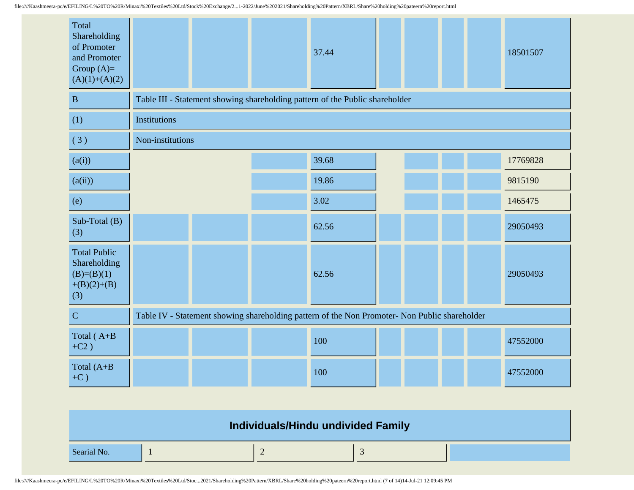| Total<br>Shareholding<br>of Promoter<br>and Promoter<br>Group $(A)=$<br>$(A)(1)+(A)(2)$ |                  |  | 37.44                                                                                         |  |  | 18501507 |
|-----------------------------------------------------------------------------------------|------------------|--|-----------------------------------------------------------------------------------------------|--|--|----------|
| $\, {\bf B}$                                                                            |                  |  | Table III - Statement showing shareholding pattern of the Public shareholder                  |  |  |          |
| (1)                                                                                     | Institutions     |  |                                                                                               |  |  |          |
| (3)                                                                                     | Non-institutions |  |                                                                                               |  |  |          |
| (a(i))                                                                                  |                  |  | 39.68                                                                                         |  |  | 17769828 |
| (a(ii))                                                                                 |                  |  | 19.86                                                                                         |  |  | 9815190  |
| (e)                                                                                     |                  |  | 3.02                                                                                          |  |  | 1465475  |
| Sub-Total (B)<br>(3)                                                                    |                  |  | 62.56                                                                                         |  |  | 29050493 |
| <b>Total Public</b><br>Shareholding<br>$(B)=(B)(1)$<br>$+(B)(2)+(B)$<br>(3)             |                  |  | 62.56                                                                                         |  |  | 29050493 |
| $\mathbf C$                                                                             |                  |  | Table IV - Statement showing shareholding pattern of the Non Promoter- Non Public shareholder |  |  |          |
| Total (A+B<br>$+C2)$                                                                    |                  |  | 100                                                                                           |  |  | 47552000 |
| Total (A+B<br>$+C$ )                                                                    |                  |  | 100                                                                                           |  |  | 47552000 |

| Individuals/Hindu undivided Family |  |  |  |  |  |  |  |
|------------------------------------|--|--|--|--|--|--|--|
| Searial No.                        |  |  |  |  |  |  |  |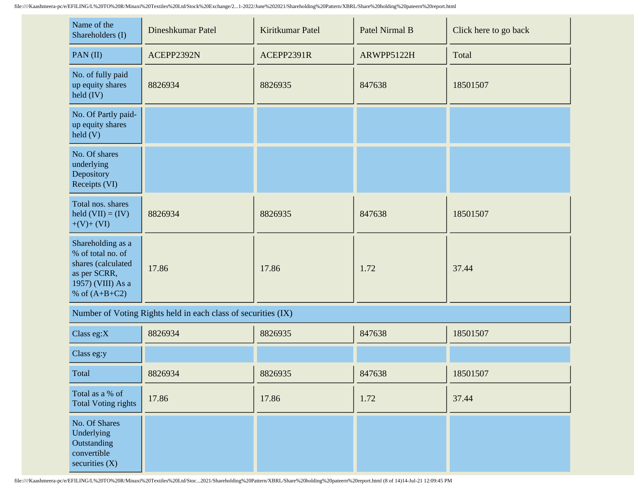| Name of the<br>Shareholders (I)                                                                                      | Dineshkumar Patel | Kiritkumar Patel | Patel Nirmal B | Click here to go back |
|----------------------------------------------------------------------------------------------------------------------|-------------------|------------------|----------------|-----------------------|
| PAN(II)                                                                                                              | ACEPP2392N        | ACEPP2391R       | ARWPP5122H     | Total                 |
| No. of fully paid<br>up equity shares<br>$\text{held (IV)}$                                                          | 8826934           | 8826935          | 847638         | 18501507              |
| No. Of Partly paid-<br>up equity shares<br>$\text{held}(V)$                                                          |                   |                  |                |                       |
| No. Of shares<br>underlying<br>Depository<br>Receipts (VI)                                                           |                   |                  |                |                       |
| Total nos. shares<br>held $(VII) = (IV)$<br>$+(V)+(VI)$                                                              | 8826934           | 8826935          | 847638         | 18501507              |
| Shareholding as a<br>% of total no. of<br>shares (calculated<br>as per SCRR,<br>1957) (VIII) As a<br>% of $(A+B+C2)$ | 17.86             | 17.86            | 1.72           | 37.44                 |

Number of Voting Rights held in each class of securities (IX)

| Class eg: $X$                                                                 | 8826934 | 8826935 | 847638 | 18501507 |
|-------------------------------------------------------------------------------|---------|---------|--------|----------|
| Class eg:y                                                                    |         |         |        |          |
| Total                                                                         | 8826934 | 8826935 | 847638 | 18501507 |
| Total as a % of<br><b>Total Voting rights</b>                                 | 17.86   | 17.86   | 1.72   | 37.44    |
| No. Of Shares<br>Underlying<br>Outstanding<br>convertible<br>securities $(X)$ |         |         |        |          |

file:////Kaashmeera-pc/e/EFILING/L%20TO%20R/Minaxi%20Textiles%20Ltd/Stoc...2021/Shareholding%20Pattern/XBRL/Share%20holding%20pateern%20report.html (8 of 14)14-Jul-21 12:09:45 PM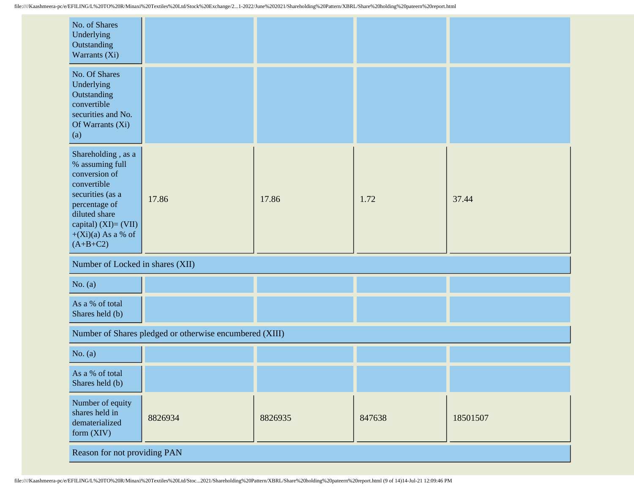| No. of Shares<br>Underlying<br>Outstanding<br>Warrants (Xi)                                                                                                                                  |                                                         |         |        |          |  |
|----------------------------------------------------------------------------------------------------------------------------------------------------------------------------------------------|---------------------------------------------------------|---------|--------|----------|--|
| No. Of Shares<br>Underlying<br>Outstanding<br>convertible<br>securities and No.<br>Of Warrants (Xi)<br>(a)                                                                                   |                                                         |         |        |          |  |
| Shareholding, as a<br>% assuming full<br>conversion of<br>convertible<br>securities (as a<br>percentage of<br>diluted share<br>capital) $(XI) = (VII)$<br>$+(Xi)(a)$ As a % of<br>$(A+B+C2)$ | 17.86                                                   | 17.86   | 1.72   | 37.44    |  |
| Number of Locked in shares (XII)                                                                                                                                                             |                                                         |         |        |          |  |
| No. $(a)$                                                                                                                                                                                    |                                                         |         |        |          |  |
| As a % of total<br>Shares held (b)                                                                                                                                                           |                                                         |         |        |          |  |
|                                                                                                                                                                                              | Number of Shares pledged or otherwise encumbered (XIII) |         |        |          |  |
| No. $(a)$                                                                                                                                                                                    |                                                         |         |        |          |  |
| As a % of total<br>Shares held (b)                                                                                                                                                           |                                                         |         |        |          |  |
| Number of equity<br>shares held in<br>dematerialized<br>form (XIV)                                                                                                                           | 8826934                                                 | 8826935 | 847638 | 18501507 |  |
| Reason for not providing PAN                                                                                                                                                                 |                                                         |         |        |          |  |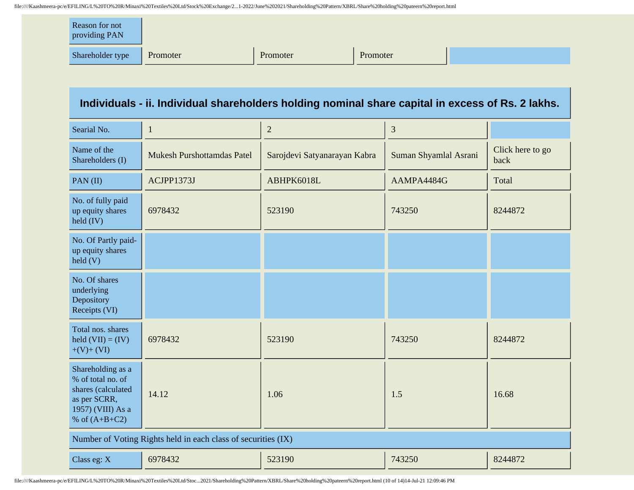| Reason for not<br>providing PAN |          |          |          |  |
|---------------------------------|----------|----------|----------|--|
| Shareholder type                | Promoter | Promoter | Promoter |  |

## **Individuals - ii. Individual shareholders holding nominal share capital in excess of Rs. 2 lakhs.**

| Searial No.                                                                                                          | 1                                 | $\overline{2}$               | 3                     |                          |  |
|----------------------------------------------------------------------------------------------------------------------|-----------------------------------|------------------------------|-----------------------|--------------------------|--|
| Name of the<br>Shareholders (I)                                                                                      | <b>Mukesh Purshottamdas Patel</b> | Sarojdevi Satyanarayan Kabra | Suman Shyamlal Asrani | Click here to go<br>back |  |
| PAN(II)                                                                                                              | ACJPP1373J                        | ABHPK6018L                   | AAMPA4484G            | Total                    |  |
| No. of fully paid<br>up equity shares<br>$\text{held (IV)}$                                                          | 6978432                           | 523190                       | 743250                | 8244872                  |  |
| No. Of Partly paid-<br>up equity shares<br>$\text{held}$ (V)                                                         |                                   |                              |                       |                          |  |
| No. Of shares<br>underlying<br>Depository<br>Receipts (VI)                                                           |                                   |                              |                       |                          |  |
| Total nos. shares<br>held $(VII) = (IV)$<br>$+(V)+(VI)$                                                              | 6978432                           | 523190                       | 743250                | 8244872                  |  |
| Shareholding as a<br>% of total no. of<br>shares (calculated<br>as per SCRR,<br>1957) (VIII) As a<br>% of $(A+B+C2)$ | 14.12                             | 1.06                         | 1.5                   | 16.68                    |  |
| Number of Voting Rights held in each class of securities (IX)                                                        |                                   |                              |                       |                          |  |
| Class eg: X                                                                                                          | 6978432                           | 523190                       | 743250                | 8244872                  |  |

file:////Kaashmeera-pc/e/EFILING/L%20TO%20R/Minaxi%20Textiles%20Ltd/Stoc...2021/Shareholding%20Pattern/XBRL/Share%20holding%20pateern%20report.html (10 of 14)14-Jul-21 12:09:46 PM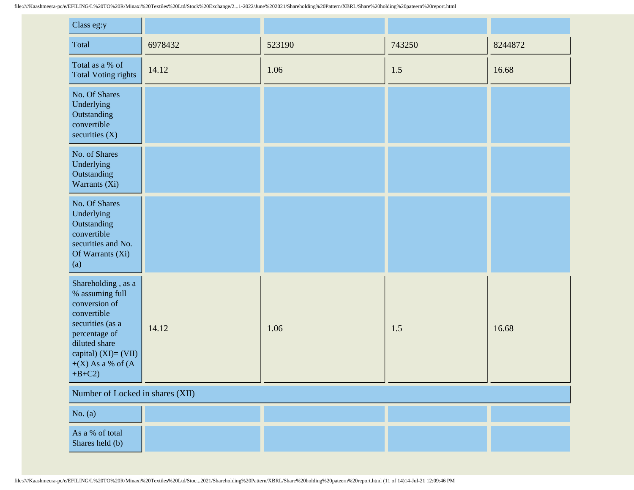| Class eg:y                                                                                                                                                                                  |         |        |        |         |  |
|---------------------------------------------------------------------------------------------------------------------------------------------------------------------------------------------|---------|--------|--------|---------|--|
| Total                                                                                                                                                                                       | 6978432 | 523190 | 743250 | 8244872 |  |
| Total as a % of<br><b>Total Voting rights</b>                                                                                                                                               | 14.12   | 1.06   | 1.5    | 16.68   |  |
| No. Of Shares<br>Underlying<br>Outstanding<br>convertible<br>securities $(X)$                                                                                                               |         |        |        |         |  |
| No. of Shares<br>Underlying<br>Outstanding<br>Warrants (Xi)                                                                                                                                 |         |        |        |         |  |
| No. Of Shares<br>Underlying<br>Outstanding<br>convertible<br>securities and No.<br>Of Warrants (Xi)<br>(a)                                                                                  |         |        |        |         |  |
| Shareholding, as a<br>% assuming full<br>conversion of<br>convertible<br>securities (as a<br>percentage of<br>diluted share<br>capital) $(XI) = (VII)$<br>$+(X)$ As a % of $(A)$<br>$+B+C2$ | 14.12   | 1.06   | 1.5    | 16.68   |  |
| Number of Locked in shares (XII)                                                                                                                                                            |         |        |        |         |  |
| No. $(a)$                                                                                                                                                                                   |         |        |        |         |  |
| As a % of total<br>Shares held (b)                                                                                                                                                          |         |        |        |         |  |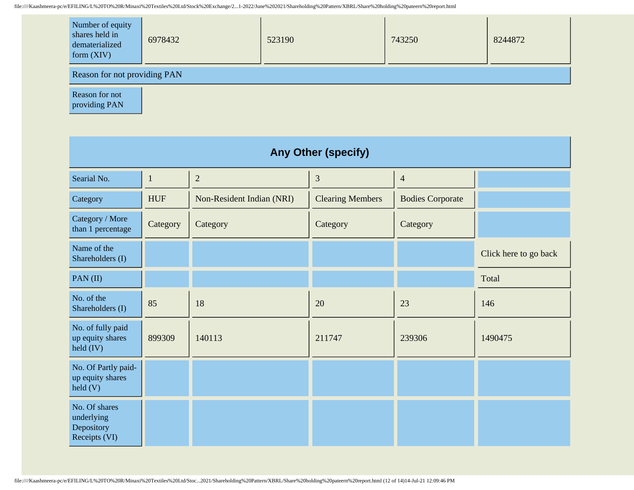| Number of equity<br>shares held in<br>dematerialized<br>form $(XIV)$ | 6978432 | 523190 | 743250 | 8244872 |  |
|----------------------------------------------------------------------|---------|--------|--------|---------|--|
| Reason for not providing PAN                                         |         |        |        |         |  |

Reason for not providing PAN

| <b>Any Other (specify)</b>                                  |              |                           |                         |                         |                       |  |
|-------------------------------------------------------------|--------------|---------------------------|-------------------------|-------------------------|-----------------------|--|
| Searial No.                                                 | $\mathbf{1}$ | $\overline{2}$            | 3                       | $\overline{4}$          |                       |  |
| Category                                                    | <b>HUF</b>   | Non-Resident Indian (NRI) | <b>Clearing Members</b> | <b>Bodies Corporate</b> |                       |  |
| Category / More<br>than 1 percentage                        | Category     | Category                  | Category                | Category                |                       |  |
| Name of the<br>Shareholders (I)                             |              |                           |                         |                         | Click here to go back |  |
| PAN(II)                                                     |              |                           |                         |                         | Total                 |  |
| No. of the<br>Shareholders (I)                              | 85           | 18                        | 20                      | 23                      | 146                   |  |
| No. of fully paid<br>up equity shares<br>held (IV)          | 899309       | 140113                    | 211747                  | 239306                  | 1490475               |  |
| No. Of Partly paid-<br>up equity shares<br>$\text{held}(V)$ |              |                           |                         |                         |                       |  |
| No. Of shares<br>underlying<br>Depository<br>Receipts (VI)  |              |                           |                         |                         |                       |  |

file:////Kaashmeera-pc/e/EFILING/L%20TO%20R/Minaxi%20Textiles%20Ltd/Stoc...2021/Shareholding%20Pattern/XBRL/Share%20holding%20pateern%20report.html (12 of 14)14-Jul-21 12:09:46 PM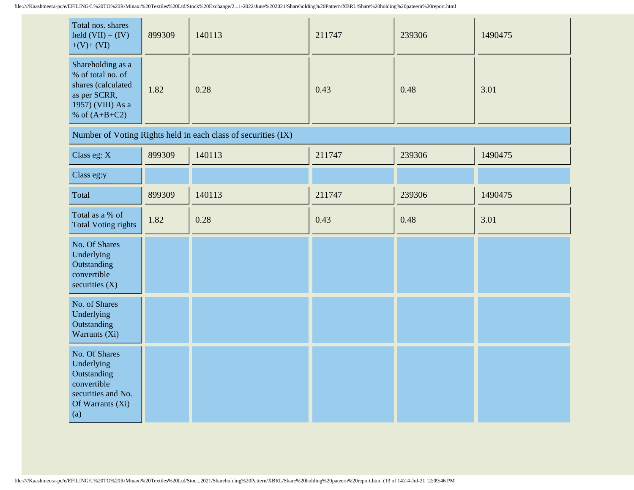| Total nos. shares<br>held $(VII) = (IV)$<br>$+(V)+(VI)$                                                              | 899309 | 140113 | 211747 | 239306 | 1490475 |
|----------------------------------------------------------------------------------------------------------------------|--------|--------|--------|--------|---------|
| Shareholding as a<br>% of total no. of<br>shares (calculated<br>as per SCRR,<br>1957) (VIII) As a<br>% of $(A+B+C2)$ | 1.82   | 0.28   | 0.43   | 0.48   | 3.01    |

| Number of Voting Rights held in each class of securities (IX)                                              |        |        |        |        |         |  |
|------------------------------------------------------------------------------------------------------------|--------|--------|--------|--------|---------|--|
| Class eg: X                                                                                                | 899309 | 140113 | 211747 | 239306 | 1490475 |  |
| Class eg:y                                                                                                 |        |        |        |        |         |  |
| Total                                                                                                      | 899309 | 140113 | 211747 | 239306 | 1490475 |  |
| Total as a % of<br><b>Total Voting rights</b>                                                              | 1.82   | 0.28   | 0.43   | 0.48   | 3.01    |  |
| No. Of Shares<br>Underlying<br>Outstanding<br>convertible<br>securities $(X)$                              |        |        |        |        |         |  |
| No. of Shares<br>Underlying<br>Outstanding<br>Warrants (Xi)                                                |        |        |        |        |         |  |
| No. Of Shares<br>Underlying<br>Outstanding<br>convertible<br>securities and No.<br>Of Warrants (Xi)<br>(a) |        |        |        |        |         |  |